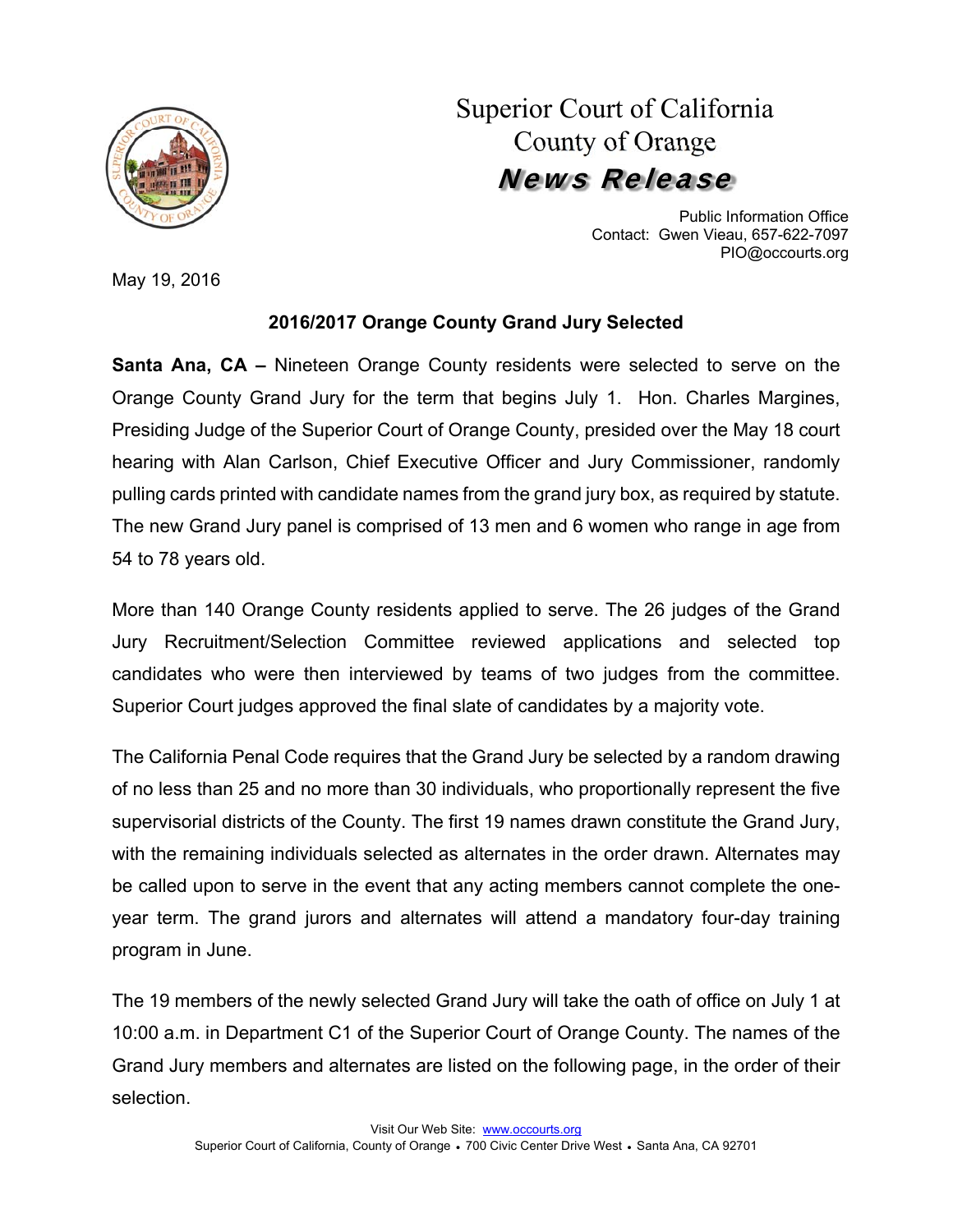

# Superior Court of California County of Orange News Release

Public Information Office Contact: Gwen Vieau, 657-622-7097 PIO@occourts.org

May 19, 2016

## **2016/2017 Orange County Grand Jury Selected**

**Santa Ana, CA –** Nineteen Orange County residents were selected to serve on the Orange County Grand Jury for the term that begins July 1. Hon. Charles Margines, Presiding Judge of the Superior Court of Orange County, presided over the May 18 court hearing with Alan Carlson, Chief Executive Officer and Jury Commissioner, randomly pulling cards printed with candidate names from the grand jury box, as required by statute. The new Grand Jury panel is comprised of 13 men and 6 women who range in age from 54 to 78 years old.

More than 140 Orange County residents applied to serve. The 26 judges of the Grand Jury Recruitment/Selection Committee reviewed applications and selected top candidates who were then interviewed by teams of two judges from the committee. Superior Court judges approved the final slate of candidates by a majority vote.

The California Penal Code requires that the Grand Jury be selected by a random drawing of no less than 25 and no more than 30 individuals, who proportionally represent the five supervisorial districts of the County. The first 19 names drawn constitute the Grand Jury, with the remaining individuals selected as alternates in the order drawn. Alternates may be called upon to serve in the event that any acting members cannot complete the oneyear term. The grand jurors and alternates will attend a mandatory four-day training program in June.

The 19 members of the newly selected Grand Jury will take the oath of office on July 1 at 10:00 a.m. in Department C1 of the Superior Court of Orange County. The names of the Grand Jury members and alternates are listed on the following page, in the order of their selection.